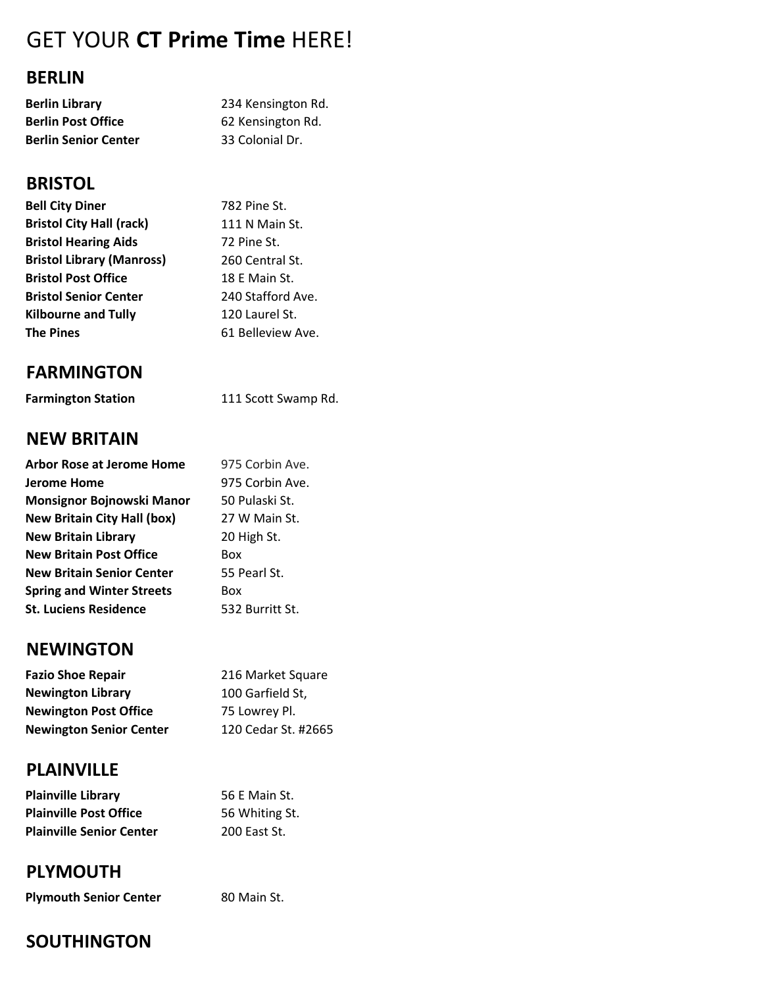# GET YOUR CT Prime Time HERE!

#### BERLIN

| Berlin Library              | 234 Kensington Rd. |
|-----------------------------|--------------------|
| <b>Berlin Post Office</b>   | 62 Kensington Rd.  |
| <b>Berlin Senior Center</b> | 33 Colonial Dr.    |

## **BRISTOL**

| <b>Bell City Diner</b>           | 782 Pine St.      |
|----------------------------------|-------------------|
| <b>Bristol City Hall (rack)</b>  | 111 N Main St.    |
| <b>Bristol Hearing Aids</b>      | 72 Pine St.       |
| <b>Bristol Library (Manross)</b> | 260 Central St.   |
| <b>Bristol Post Office</b>       | 18 E Main St.     |
| <b>Bristol Senior Center</b>     | 240 Stafford Ave. |
| <b>Kilbourne and Tully</b>       | 120 Laurel St.    |
| <b>The Pines</b>                 | 61 Belleview Ave. |
|                                  |                   |

## FARMINGTON

Farmington Station 111 Scott Swamp Rd.

#### NEW BRITAIN

| <b>Arbor Rose at Jerome Home</b>   | 975 Corbin Ave. |
|------------------------------------|-----------------|
| Jerome Home                        | 975 Corbin Ave. |
| Monsignor Bojnowski Manor          | 50 Pulaski St.  |
| <b>New Britain City Hall (box)</b> | 27 W Main St.   |
| <b>New Britain Library</b>         | 20 High St.     |
| <b>New Britain Post Office</b>     | Box             |
| <b>New Britain Senior Center</b>   | 55 Pearl St.    |
| <b>Spring and Winter Streets</b>   | Box             |
| <b>St. Luciens Residence</b>       | 532 Burritt St. |
|                                    |                 |

## **NEWINGTON**

| <b>Fazio Shoe Repair</b>       | 216 Market Square   |
|--------------------------------|---------------------|
| <b>Newington Library</b>       | 100 Garfield St,    |
| <b>Newington Post Office</b>   | 75 Lowrey Pl.       |
| <b>Newington Senior Center</b> | 120 Cedar St. #2665 |

## PLAINVILLE

| <b>Plainville Library</b>       | 56 E Main St.  |
|---------------------------------|----------------|
| <b>Plainville Post Office</b>   | 56 Whiting St. |
| <b>Plainville Senior Center</b> | 200 East St.   |

# PLYMOUTH

Plymouth Senior Center 80 Main St.

# **SOUTHINGTON**